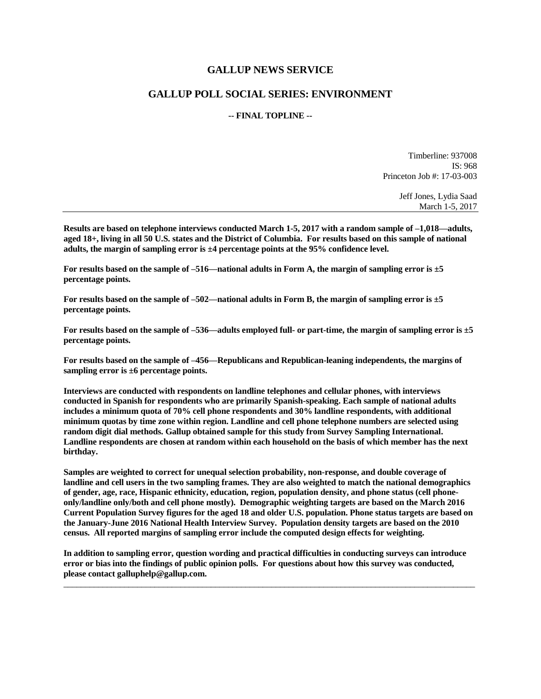## **GALLUP NEWS SERVICE**

## **GALLUP POLL SOCIAL SERIES: ENVIRONMENT**

## **-- FINAL TOPLINE --**

Timberline: 937008 IS: 968 Princeton Job #: 17-03-003

> Jeff Jones, Lydia Saad March 1-5, 2017

**Results are based on telephone interviews conducted March 1-5, 2017 with a random sample of –1,018—adults, aged 18+, living in all 50 U.S. states and the District of Columbia. For results based on this sample of national adults, the margin of sampling error is ±4 percentage points at the 95% confidence level.** 

**For results based on the sample of –516—national adults in Form A, the margin of sampling error is ±5 percentage points.**

**For results based on the sample of –502—national adults in Form B, the margin of sampling error is ±5 percentage points.**

**For results based on the sample of –536—adults employed full- or part-time, the margin of sampling error is ±5 percentage points.**

**For results based on the sample of –456—Republicans and Republican-leaning independents, the margins of sampling error is ±6 percentage points.**

**Interviews are conducted with respondents on landline telephones and cellular phones, with interviews conducted in Spanish for respondents who are primarily Spanish-speaking. Each sample of national adults includes a minimum quota of 70% cell phone respondents and 30% landline respondents, with additional minimum quotas by time zone within region. Landline and cell phone telephone numbers are selected using random digit dial methods. Gallup obtained sample for this study from Survey Sampling International. Landline respondents are chosen at random within each household on the basis of which member has the next birthday.**

**Samples are weighted to correct for unequal selection probability, non-response, and double coverage of landline and cell users in the two sampling frames. They are also weighted to match the national demographics of gender, age, race, Hispanic ethnicity, education, region, population density, and phone status (cell phoneonly/landline only/both and cell phone mostly). Demographic weighting targets are based on the March 2016 Current Population Survey figures for the aged 18 and older U.S. population. Phone status targets are based on the January-June 2016 National Health Interview Survey. Population density targets are based on the 2010 census. All reported margins of sampling error include the computed design effects for weighting.** 

**In addition to sampling error, question wording and practical difficulties in conducting surveys can introduce error or bias into the findings of public opinion polls. For questions about how this survey was conducted, please contact galluphelp@gallup.com.**

 $\Box$